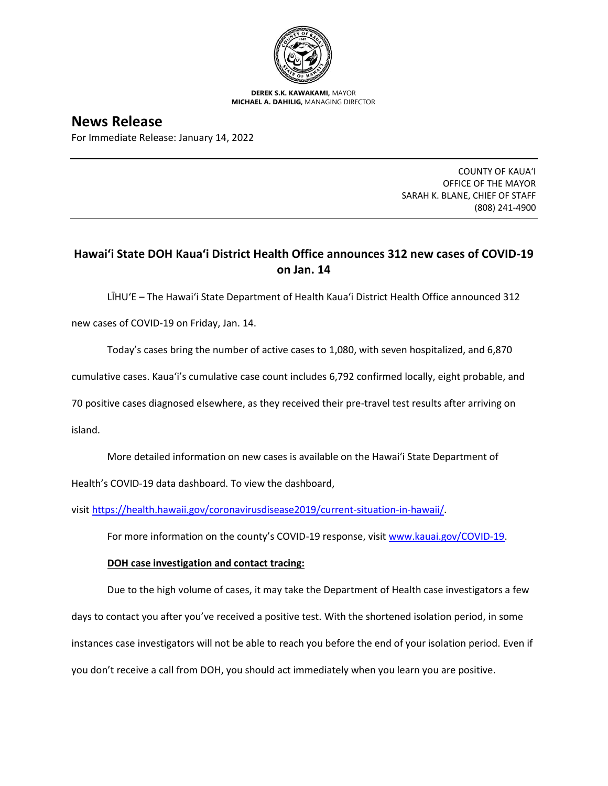

**DEREK S.K. KAWAKAMI,** MAYOR **MICHAEL A. DAHILIG,** MANAGING DIRECTOR

## **News Release**

For Immediate Release: January 14, 2022

COUNTY OF KAUA'I OFFICE OF THE MAYOR SARAH K. BLANE, CHIEF OF STAFF (808) 241-4900

## **Hawai'i State DOH Kaua'i District Health Office announces 312 new cases of COVID-19 on Jan. 14**

LĪHU'E – The Hawai'i State Department of Health Kaua'i District Health Office announced 312

new cases of COVID-19 on Friday, Jan. 14.

Today's cases bring the number of active cases to 1,080, with seven hospitalized, and 6,870

cumulative cases. Kaua'i's cumulative case count includes 6,792 confirmed locally, eight probable, and

70 positive cases diagnosed elsewhere, as they received their pre-travel test results after arriving on

island.

More detailed information on new cases is available on the Hawai'i State Department of

Health's COVID-19 data dashboard. To view the dashboard,

visit [https://health.hawaii.gov/coronavirusdisease2019/current-situation-in-hawaii/.](https://health.hawaii.gov/coronavirusdisease2019/current-situation-in-hawaii/)

For more information on the county's COVID-19 response, visit [www.kauai.gov/COVID-19.](https://urldefense.com/v3/__http:/www.kauai.gov/COVID-19__;!!LIYSdFfckKA!l4A5nHuw73q2ubt1jVfVpBxrgAoeT-qm9LHA2X0eDo7DmU1d8EztTez1J2SRjWo05uCKvMiUtA$)

## **DOH case investigation and contact tracing:**

Due to the high volume of cases, it may take the Department of Health case investigators a few days to contact you after you've received a positive test. With the shortened isolation period, in some instances case investigators will not be able to reach you before the end of your isolation period. Even if you don't receive a call from DOH, you should act immediately when you learn you are positive.